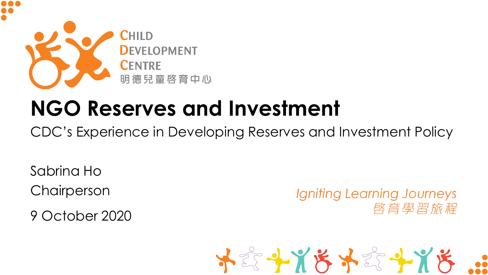

# **NGO Reserves and Investment**

CDC's Experience in Developing Reserves and Investment Policy

Sabrina Ho **Chairperson** 

9 October 2020

Igniting Learning Journeys 啓育學習旅程

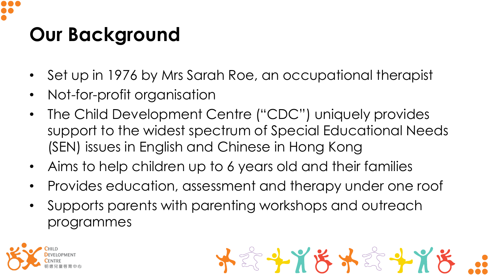## **Our Background**

- Set up in 1976 by Mrs Sarah Roe, an occupational therapist
- Not-for-profit organisation
- The Child Development Centre ("CDC") uniquely provides support to the widest spectrum of Special Educational Needs (SEN) issues in English and Chinese in Hong Kong
- Aims to help children up to 6 years old and their families
- Provides education, assessment and therapy under one roof

\*\*\*\*\*\*\*\*\*\*

• Supports parents with parenting workshops and outreach programmes

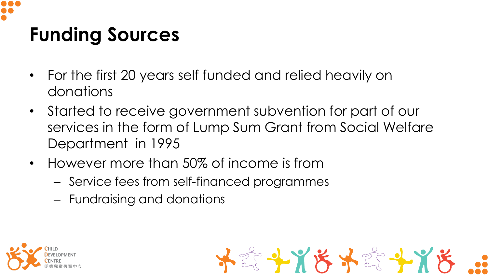

### **Funding Sources**

- For the first 20 years self funded and relied heavily on donations
- Started to receive government subvention for part of our services in the form of Lump Sum Grant from Social Welfare Department in 1995

\*\*\*\*\*\*\*\*\*\*

- However more than 50% of income is from
	- Service fees from self-financed programmes
	- Fundraising and donations

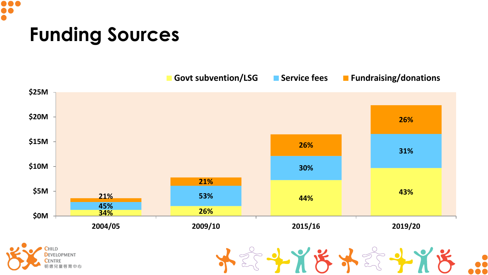

#### **Funding Sources**

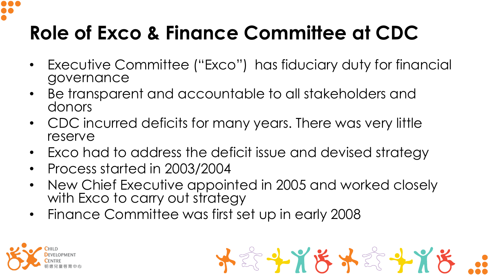

# **Role of Exco & Finance Committee at CDC**

- Executive Committee ("Exco") has fiduciary duty for financial governance
- Be transparent and accountable to all stakeholders and donors
- CDC incurred deficits for many years. There was very little reserve
- Exco had to address the deficit issue and devised strategy
- Process started in 2003/2004
- New Chief Executive appointed in 2005 and worked closely with Exco to carry out strategy
- Finance Committee was first set up in early 2008



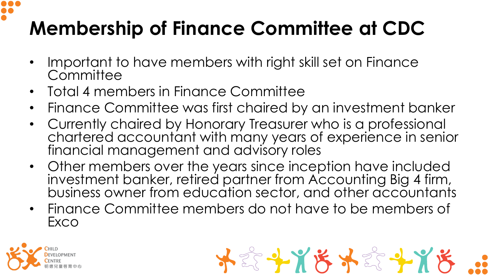# **Membership of Finance Committee at CDC**

- Important to have members with right skill set on Finance **Committee**
- Total 4 members in Finance Committee
- Finance Committee was first chaired by an investment banker
- Currently chaired by Honorary Treasurer who is a professional chartered accountant with many years of experience in senior financial management and advisory roles
- Other members over the years since inception have included investment banker, retired partner from Accounting Big 4 firm, business owner from education sector, and other accountants
- Finance Committee members do not have to be members of Exco

\*\*\*\*\*\*\*\*\*\*

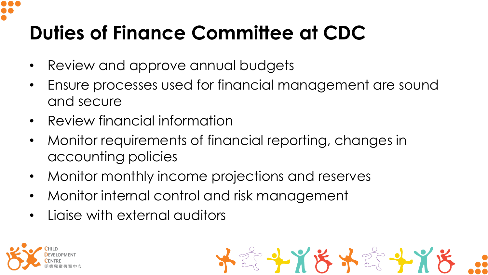# **Duties of Finance Committee at CDC**

- Review and approve annual budgets
- Ensure processes used for financial management are sound and secure
- Review financial information
- Monitor requirements of financial reporting, changes in accounting policies
- Monitor monthly income projections and reserves
- Monitor internal control and risk management
- Liaise with external auditors



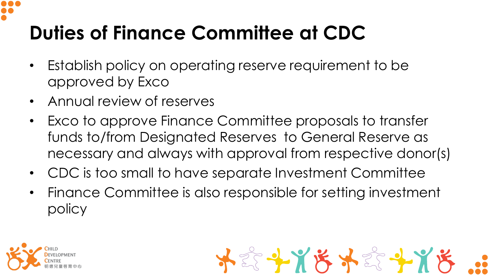# **Duties of Finance Committee at CDC**

- Establish policy on operating reserve requirement to be approved by Exco
- Annual review of reserves
- Exco to approve Finance Committee proposals to transfer funds to/from Designated Reserves to General Reserve as necessary and always with approval from respective donor(s)
- CDC is too small to have separate Investment Committee
- Finance Committee is also responsible for setting investment policy



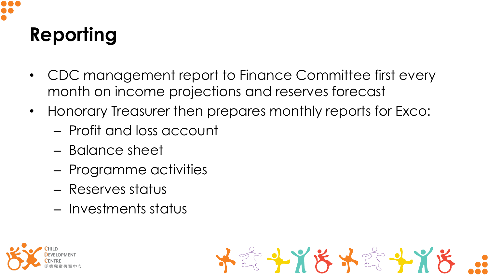# **Reporting**

- CDC management report to Finance Committee first every month on income projections and reserves forecast
- Honorary Treasurer then prepares monthly reports for Exco:
	- Profit and loss account
	- Balance sheet
	- Programme activities
	- Reserves status
	- Investments status



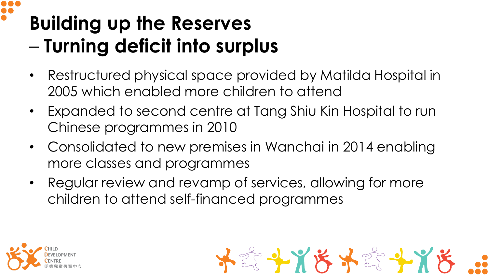# **Building up the Reserves**  – **Turning deficit into surplus**

- Restructured physical space provided by Matilda Hospital in 2005 which enabled more children to attend
- Expanded to second centre at Tang Shiu Kin Hospital to run Chinese programmes in 2010
- Consolidated to new premises in Wanchai in 2014 enabling more classes and programmes
- Regular review and revamp of services, allowing for more children to attend self-financed programmes



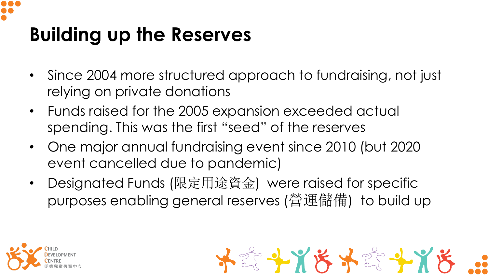

## **Building up the Reserves**

- Since 2004 more structured approach to fundraising, not just relying on private donations
- Funds raised for the 2005 expansion exceeded actual spending. This was the first "seed" of the reserves
- One major annual fundraising event since 2010 (but 2020 event cancelled due to pandemic)
- Designated Funds (限定用途資金) were raised for specific purposes enabling general reserves (營運儲備) to build up

\*\*\*\*\*\*\*\*\*\*\*

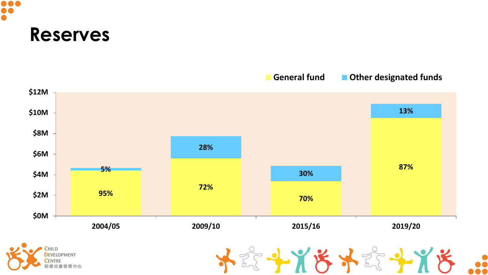

#### **\$12M 13% \$10M \$8M 28% \$6M 5% 87% 30% \$4M 72% 95% \$2M 70% \$0M 2004/05 2009/10 2015/16 2019/20** 《子光送外念子光送

#### **General fund Other designated funds**

 $\ddot{\bullet}$ 

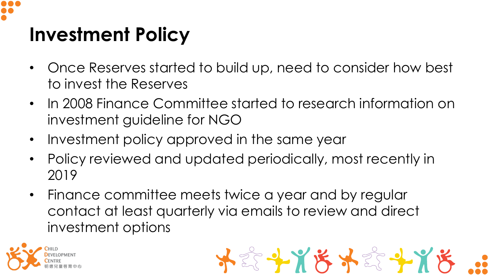

## **Investment Policy**

- Once Reserves started to build up, need to consider how best to invest the Reserves
- In 2008 Finance Committee started to research information on investment guideline for NGO
- Investment policy approved in the same year
- Policy reviewed and updated periodically, most recently in 2019
- Finance committee meets twice a year and by regular contact at least quarterly via emails to review and direct investment options



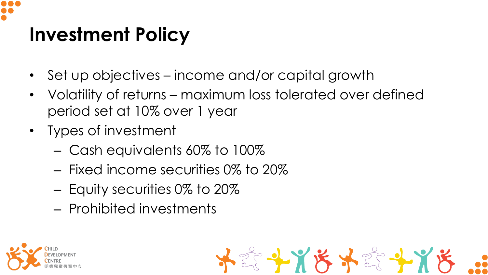# **Investment Policy**

- Set up objectives income and/or capital growth
- Volatility of returns maximum loss tolerated over defined period set at 10% over 1 year

\*\*\*\*\*\*\*\*\*\*\*

- Types of investment
	- Cash equivalents 60% to 100%
	- Fixed income securities 0% to 20%
	- Equity securities 0% to 20%
	- Prohibited investments

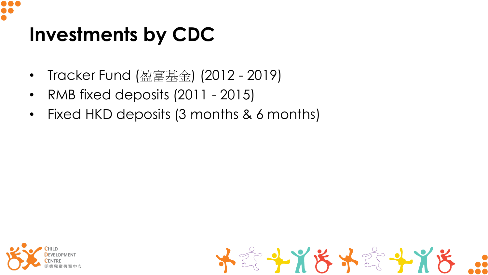

## **Investments by CDC**

- Tracker Fund (盈富基金) (2012 2019)
- RMB fixed deposits (2011 2015)
- Fixed HKD deposits (3 months & 6 months)